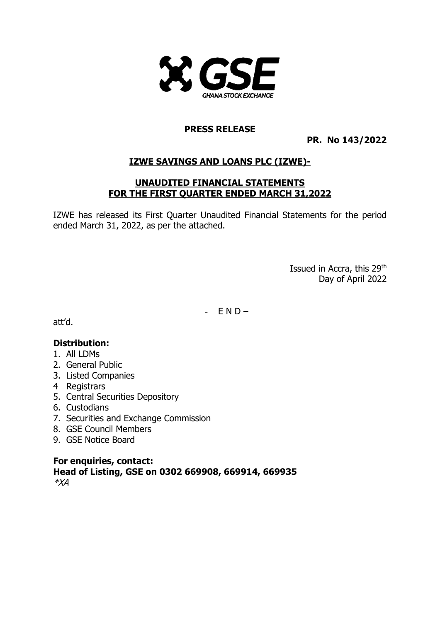

#### **PRESS RELEASE**

**PR. No 143/2022**

## **IZWE SAVINGS AND LOANS PLC (IZWE)-**

#### **UNAUDITED FINANCIAL STATEMENTS FOR THE FIRST QUARTER ENDED MARCH 31,2022**

IZWE has released its First Quarter Unaudited Financial Statements for the period ended March 31, 2022, as per the attached.

> Issued in Accra, this 29<sup>th</sup> Day of April 2022

 $-$  END-

att'd.

#### **Distribution:**

- 1. All LDMs
- 2. General Public
- 3. Listed Companies
- 4 Registrars
- 5. Central Securities Depository
- 6. Custodians
- 7. Securities and Exchange Commission
- 8. GSE Council Members
- 9. GSE Notice Board

**For enquiries, contact: Head of Listing, GSE on 0302 669908, 669914, 669935** \*XA